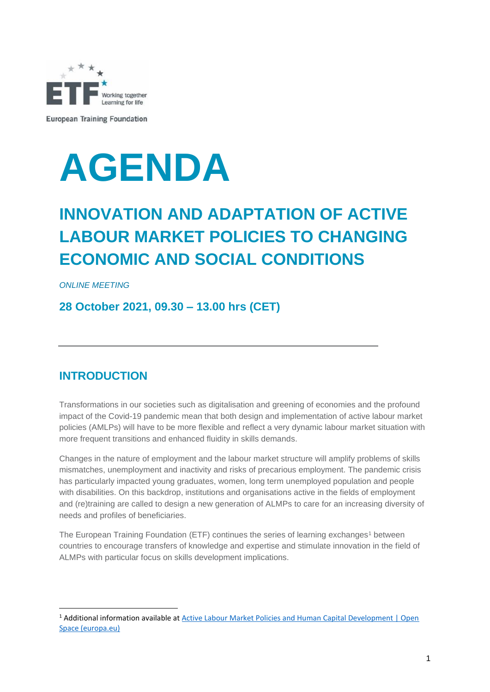

**European Training Foundation** 

## **AGENDA**

## **INNOVATION AND ADAPTATION OF ACTIVE LABOUR MARKET POLICIES TO CHANGING ECONOMIC AND SOCIAL CONDITIONS**

*ONLINE MEETING*

**28 October 2021, 09.30 – 13.00 hrs (CET)** 

## **INTRODUCTION**

Transformations in our societies such as digitalisation and greening of economies and the profound impact of the Covid-19 pandemic mean that both design and implementation of active labour market policies (AMLPs) will have to be more flexible and reflect a very dynamic labour market situation with more frequent transitions and enhanced fluidity in skills demands.

Changes in the nature of employment and the labour market structure will amplify problems of skills mismatches, unemployment and inactivity and risks of precarious employment. The pandemic crisis has particularly impacted young graduates, women, long term unemployed population and people with disabilities. On this backdrop, institutions and organisations active in the fields of employment and (re)training are called to design a new generation of ALMPs to care for an increasing diversity of needs and profiles of beneficiaries.

The European Training Foundation (ETF) continues the series of learning exchanges<sup>1</sup> between countries to encourage transfers of knowledge and expertise and stimulate innovation in the field of ALMPs with particular focus on skills development implications.

<sup>&</sup>lt;sup>1</sup> Additional information available at Active Labour Market Policies and Human Capital Development | Open [Space \(europa.eu\)](https://openspace.etf.europa.eu/pages/active-labour-market-policies-and-human-capital-development)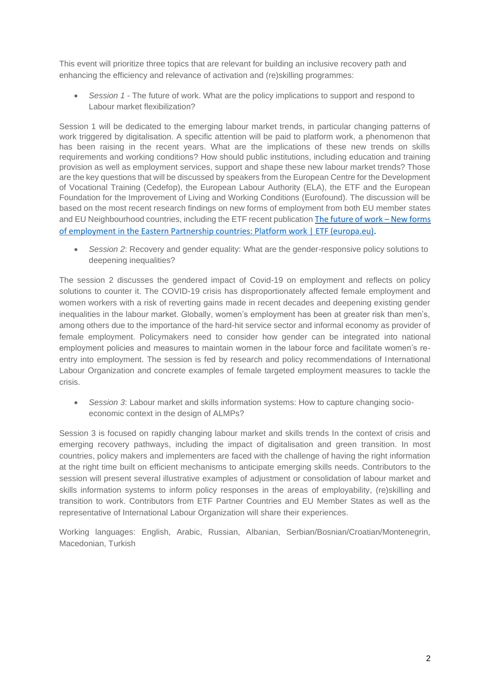This event will prioritize three topics that are relevant for building an inclusive recovery path and enhancing the efficiency and relevance of activation and (re)skilling programmes:

• *Session 1* - The future of work. What are the policy implications to support and respond to Labour market flexibilization?

Session 1 will be dedicated to the emerging labour market trends, in particular changing patterns of work triggered by digitalisation. A specific attention will be paid to platform work, a phenomenon that has been raising in the recent years. What are the implications of these new trends on skills requirements and working conditions? How should public institutions, including education and training provision as well as employment services, support and shape these new labour market trends? Those are the key questions that will be discussed by speakers from the European Centre for the Development of Vocational Training (Cedefop), the European Labour Authority (ELA), the ETF and the European Foundation for the Improvement of Living and Working Conditions (Eurofound). The discussion will be based on the most recent research findings on new forms of employment from both EU member states and EU Neighbourhood countries, including the ETF recent publication [The future of work](https://www.etf.europa.eu/en/publications-and-resources/publications/future-work-new-forms-employment-eastern-partnership) – New forms [of employment in the Eastern Partnership countries: Platform work | ETF \(europa.eu\).](https://www.etf.europa.eu/en/publications-and-resources/publications/future-work-new-forms-employment-eastern-partnership)

• *Session 2*: Recovery and gender equality: What are the gender-responsive policy solutions to deepening inequalities?

The session 2 discusses the gendered impact of Covid-19 on employment and reflects on policy solutions to counter it. The COVID-19 crisis has disproportionately affected female employment and women workers with a risk of reverting gains made in recent decades and deepening existing gender inequalities in the labour market. Globally, women's employment has been at greater risk than men's, among others due to the importance of the hard-hit service sector and informal economy as provider of female employment. Policymakers need to consider how gender can be integrated into national employment policies and measures to maintain women in the labour force and facilitate women's reentry into employment. The session is fed by research and policy recommendations of International Labour Organization and concrete examples of female targeted employment measures to tackle the crisis.

• *Session 3*: Labour market and skills information systems: How to capture changing socioeconomic context in the design of ALMPs?

Session 3 is focused on rapidly changing labour market and skills trends In the context of crisis and emerging recovery pathways, including the impact of digitalisation and green transition. In most countries, policy makers and implementers are faced with the challenge of having the right information at the right time built on efficient mechanisms to anticipate emerging skills needs. Contributors to the session will present several illustrative examples of adjustment or consolidation of labour market and skills information systems to inform policy responses in the areas of employability, (re)skilling and transition to work. Contributors from ETF Partner Countries and EU Member States as well as the representative of International Labour Organization will share their experiences.

Working languages: English, Arabic, Russian, Albanian, Serbian/Bosnian/Croatian/Montenegrin, Macedonian, Turkish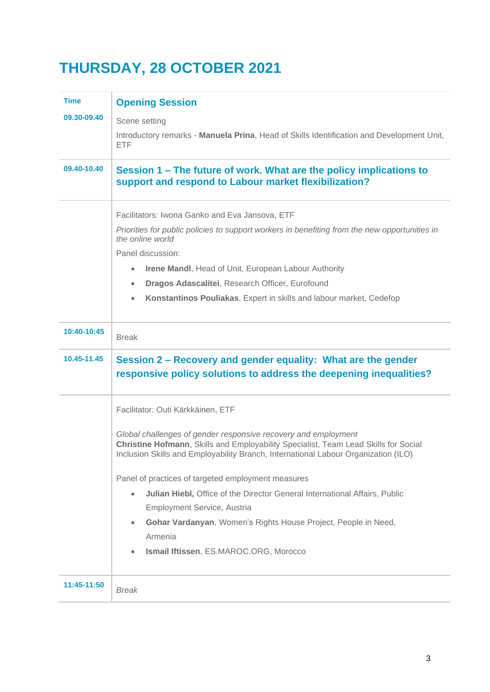## **THURSDAY, 28 OCTOBER 2021**

| <b>Time</b> | <b>Opening Session</b>                                                                                                                                                                                                                      |
|-------------|---------------------------------------------------------------------------------------------------------------------------------------------------------------------------------------------------------------------------------------------|
| 09.30-09.40 | Scene setting                                                                                                                                                                                                                               |
|             | Introductory remarks - Manuela Prina, Head of Skills Identification and Development Unit,<br>ETF                                                                                                                                            |
| 09.40-10.40 | Session 1 – The future of work. What are the policy implications to<br>support and respond to Labour market flexibilization?                                                                                                                |
|             | Facilitators: Iwona Ganko and Eva Jansova, ETF                                                                                                                                                                                              |
|             | Priorities for public policies to support workers in benefiting from the new opportunities in<br>the online world                                                                                                                           |
|             | Panel discussion:                                                                                                                                                                                                                           |
|             | Irene Mandl, Head of Unit, European Labour Authority<br>$\bullet$                                                                                                                                                                           |
|             | Dragos Adascalitei, Research Officer, Eurofound<br>$\bullet$                                                                                                                                                                                |
|             | Konstantinos Pouliakas, Expert in skills and labour market, Cedefop<br>$\bullet$                                                                                                                                                            |
| 10:40-10:45 | <b>Break</b>                                                                                                                                                                                                                                |
| 10.45-11.45 | Session 2 – Recovery and gender equality: What are the gender<br>responsive policy solutions to address the deepening inequalities?                                                                                                         |
|             | Facilitator: Outi Kärkkäinen, ETF                                                                                                                                                                                                           |
|             | Global challenges of gender responsive recovery and employment<br>Christine Hofmann, Skills and Employability Specialist, Team Lead Skills for Social<br>Inclusion Skills and Employability Branch, International Labour Organization (ILO) |
|             | Panel of practices of targeted employment measures                                                                                                                                                                                          |
|             | Julian Hiebl, Office of the Director General International Affairs, Public<br>$\bullet$                                                                                                                                                     |
|             | Employment Service, Austria                                                                                                                                                                                                                 |
|             | Gohar Vardanyan, Women's Rights House Project, People in Need,<br>$\bullet$<br>Armenia                                                                                                                                                      |
|             | Ismail Iftissen, ES.MAROC.ORG, Morocco<br>۰                                                                                                                                                                                                 |
| 11:45-11:50 | <b>Break</b>                                                                                                                                                                                                                                |